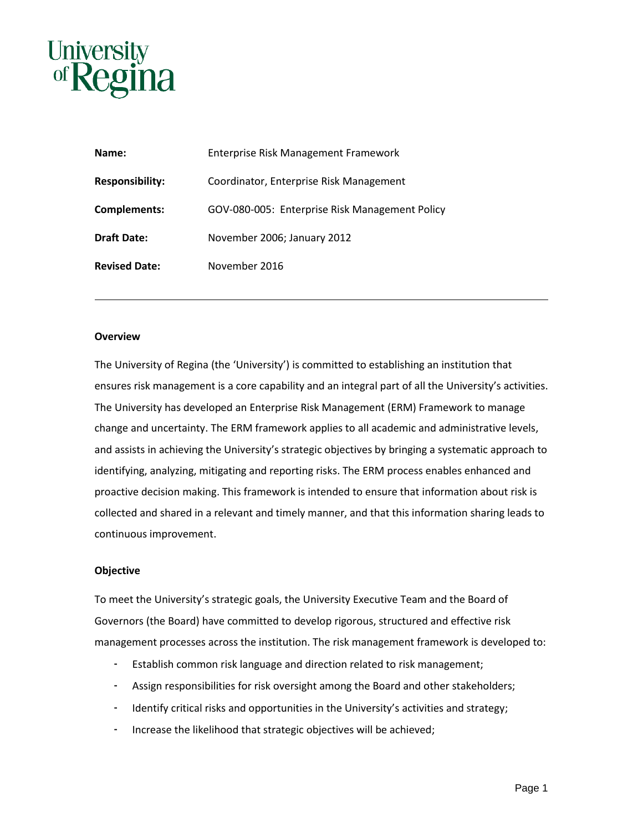

| Name:                  | <b>Enterprise Risk Management Framework</b>    |
|------------------------|------------------------------------------------|
| <b>Responsibility:</b> | Coordinator, Enterprise Risk Management        |
| <b>Complements:</b>    | GOV-080-005: Enterprise Risk Management Policy |
| <b>Draft Date:</b>     | November 2006; January 2012                    |
| <b>Revised Date:</b>   | November 2016                                  |

### **Overview**

The University of Regina (the 'University') is committed to establishing an institution that ensures risk management is a core capability and an integral part of all the University's activities. The University has developed an Enterprise Risk Management (ERM) Framework to manage change and uncertainty. The ERM framework applies to all academic and administrative levels, and assists in achieving the University's strategic objectives by bringing a systematic approach to identifying, analyzing, mitigating and reporting risks. The ERM process enables enhanced and proactive decision making. This framework is intended to ensure that information about risk is collected and shared in a relevant and timely manner, and that this information sharing leads to continuous improvement.

#### **Objective**

To meet the University's strategic goals, the University Executive Team and the Board of Governors (the Board) have committed to develop rigorous, structured and effective risk management processes across the institution. The risk management framework is developed to:

- Establish common risk language and direction related to risk management;
- Assign responsibilities for risk oversight among the Board and other stakeholders;
- Identify critical risks and opportunities in the University's activities and strategy;
- Increase the likelihood that strategic objectives will be achieved;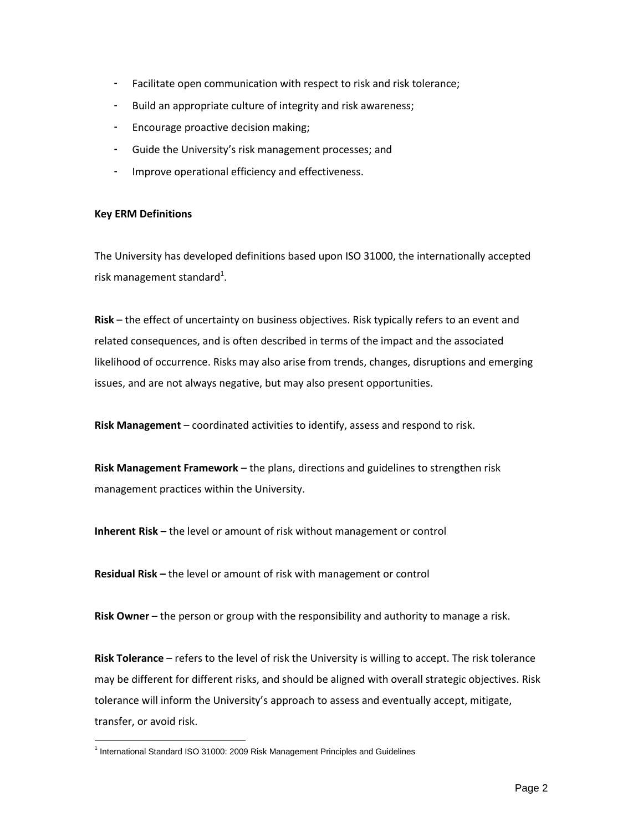- Facilitate open communication with respect to risk and risk tolerance;
- Build an appropriate culture of integrity and risk awareness;
- Encourage proactive decision making;
- Guide the University's risk management processes; and
- Improve operational efficiency and effectiveness.

# **Key ERM Definitions**

The University has developed definitions based upon ISO 31000, the internationally accepted risk management standard<sup>1</sup>.

**Risk** – the effect of uncertainty on business objectives. Risk typically refers to an event and related consequences, and is often described in terms of the impact and the associated likelihood of occurrence. Risks may also arise from trends, changes, disruptions and emerging issues, and are not always negative, but may also present opportunities.

**Risk Management** – coordinated activities to identify, assess and respond to risk.

**Risk Management Framework** – the plans, directions and guidelines to strengthen risk management practices within the University.

**Inherent Risk –** the level or amount of risk without management or control

**Residual Risk –** the level or amount of risk with management or control

**Risk Owner** – the person or group with the responsibility and authority to manage a risk.

**Risk Tolerance** – refers to the level of risk the University is willing to accept. The risk tolerance may be different for different risks, and should be aligned with overall strategic objectives. Risk tolerance will inform the University's approach to assess and eventually accept, mitigate, transfer, or avoid risk.

 1 International Standard ISO 31000: 2009 Risk Management Principles and Guidelines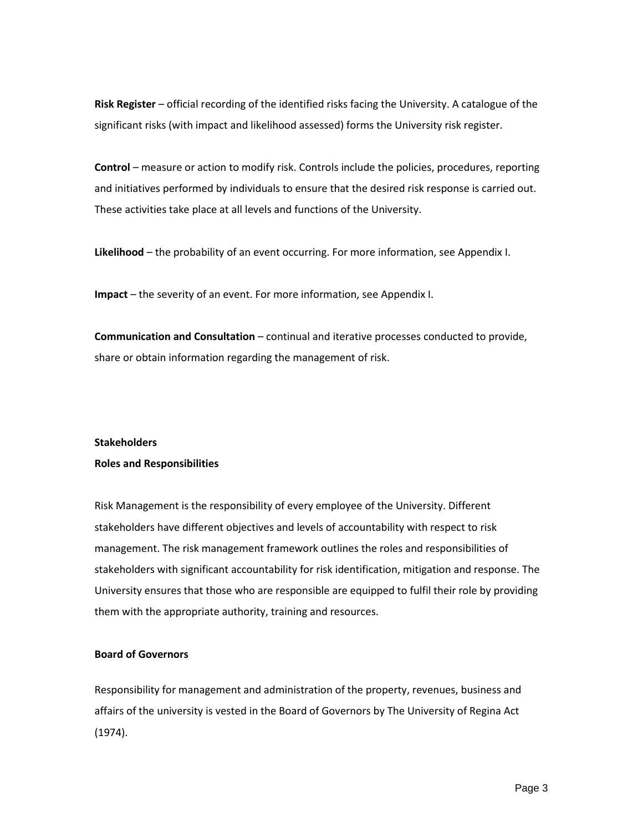**Risk Register** – official recording of the identified risks facing the University. A catalogue of the significant risks (with impact and likelihood assessed) forms the University risk register.

**Control** – measure or action to modify risk. Controls include the policies, procedures, reporting and initiatives performed by individuals to ensure that the desired risk response is carried out. These activities take place at all levels and functions of the University.

**Likelihood** – the probability of an event occurring. For more information, see Appendix I.

**Impact** – the severity of an event. For more information, see Appendix I.

**Communication and Consultation** – continual and iterative processes conducted to provide, share or obtain information regarding the management of risk.

### **Stakeholders**

### **Roles and Responsibilities**

Risk Management is the responsibility of every employee of the University. Different stakeholders have different objectives and levels of accountability with respect to risk management. The risk management framework outlines the roles and responsibilities of stakeholders with significant accountability for risk identification, mitigation and response. The University ensures that those who are responsible are equipped to fulfil their role by providing them with the appropriate authority, training and resources.

### **Board of Governors**

Responsibility for management and administration of the property, revenues, business and affairs of the university is vested in the Board of Governors by The University of Regina Act (1974).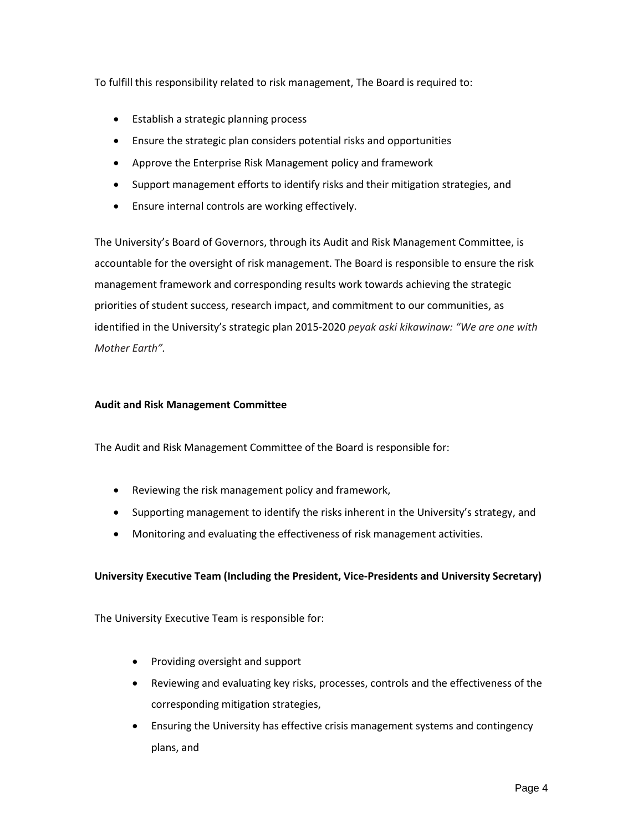To fulfill this responsibility related to risk management, The Board is required to:

- Establish a strategic planning process
- Ensure the strategic plan considers potential risks and opportunities
- Approve the Enterprise Risk Management policy and framework
- Support management efforts to identify risks and their mitigation strategies, and
- Ensure internal controls are working effectively.

The University's Board of Governors, through its Audit and Risk Management Committee, is accountable for the oversight of risk management. The Board is responsible to ensure the risk management framework and corresponding results work towards achieving the strategic priorities of student success, research impact, and commitment to our communities, as identified in the University's strategic plan 2015-2020 *peyak aski kikawinaw: "We are one with Mother Earth".*

# **Audit and Risk Management Committee**

The Audit and Risk Management Committee of the Board is responsible for:

- Reviewing the risk management policy and framework,
- Supporting management to identify the risks inherent in the University's strategy, and
- Monitoring and evaluating the effectiveness of risk management activities.

# **University Executive Team (Including the President, Vice-Presidents and University Secretary)**

The University Executive Team is responsible for:

- Providing oversight and support
- Reviewing and evaluating key risks, processes, controls and the effectiveness of the corresponding mitigation strategies,
- Ensuring the University has effective crisis management systems and contingency plans, and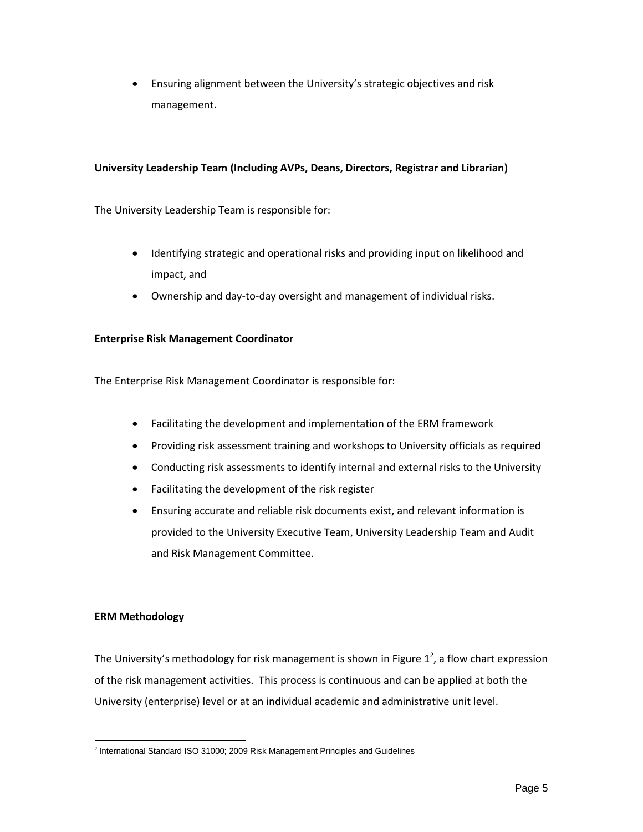Ensuring alignment between the University's strategic objectives and risk management.

# **University Leadership Team (Including AVPs, Deans, Directors, Registrar and Librarian)**

The University Leadership Team is responsible for:

- Identifying strategic and operational risks and providing input on likelihood and impact, and
- Ownership and day-to-day oversight and management of individual risks.

# **Enterprise Risk Management Coordinator**

The Enterprise Risk Management Coordinator is responsible for:

- Facilitating the development and implementation of the ERM framework
- Providing risk assessment training and workshops to University officials as required
- Conducting risk assessments to identify internal and external risks to the University
- Facilitating the development of the risk register
- Ensuring accurate and reliable risk documents exist, and relevant information is provided to the University Executive Team, University Leadership Team and Audit and Risk Management Committee.

# **ERM Methodology**

The University's methodology for risk management is shown in Figure  $1^2$ , a flow chart expression of the risk management activities. This process is continuous and can be applied at both the University (enterprise) level or at an individual academic and administrative unit level.

 2 International Standard ISO 31000; 2009 Risk Management Principles and Guidelines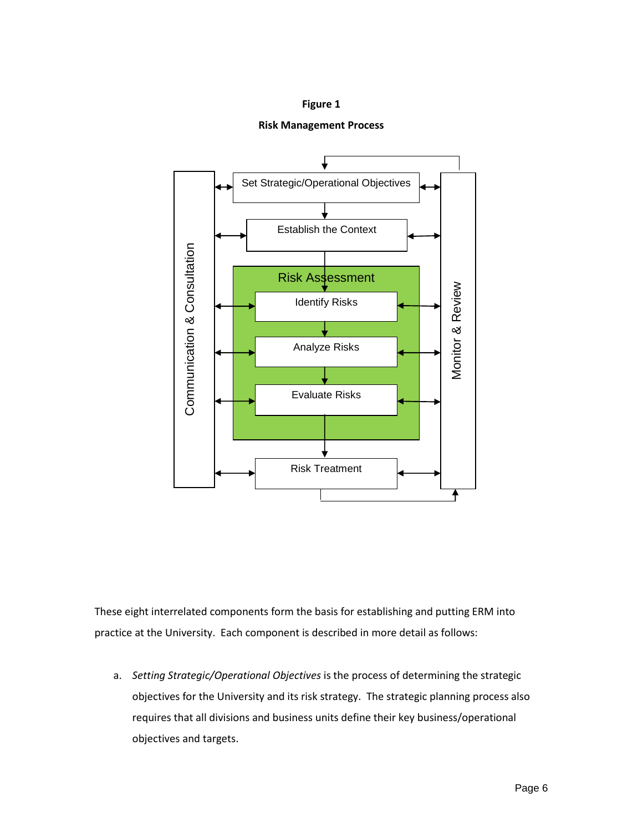## **Figure 1**





These eight interrelated components form the basis for establishing and putting ERM into practice at the University. Each component is described in more detail as follows:

a. *Setting Strategic/Operational Objectives* is the process of determining the strategic objectives for the University and its risk strategy. The strategic planning process also requires that all divisions and business units define their key business/operational objectives and targets.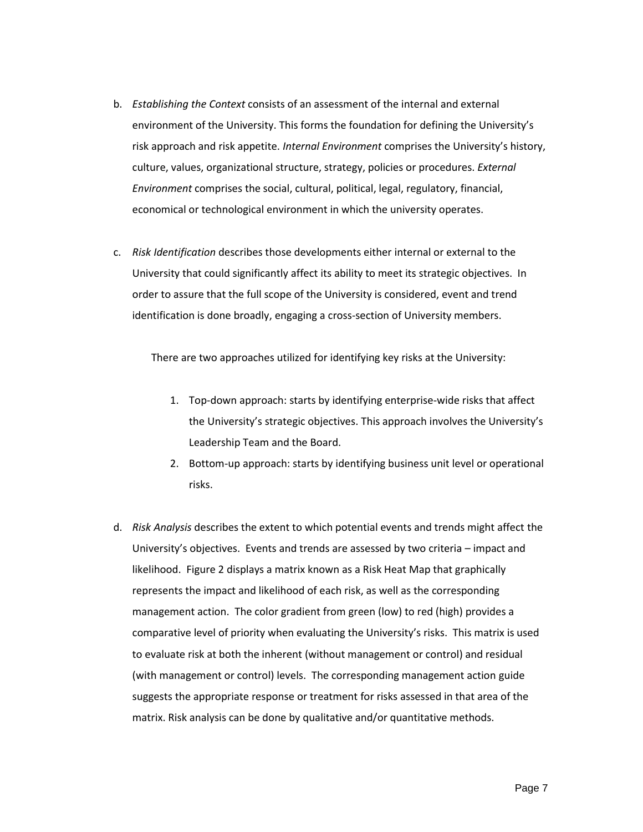- b. *Establishing the Context* consists of an assessment of the internal and external environment of the University. This forms the foundation for defining the University's risk approach and risk appetite. *Internal Environment* comprises the University's history, culture, values, organizational structure, strategy, policies or procedures. *External Environment* comprises the social, cultural, political, legal, regulatory, financial, economical or technological environment in which the university operates.
- c. *Risk Identification* describes those developments either internal or external to the University that could significantly affect its ability to meet its strategic objectives. In order to assure that the full scope of the University is considered, event and trend identification is done broadly, engaging a cross-section of University members.

There are two approaches utilized for identifying key risks at the University:

- 1. Top-down approach: starts by identifying enterprise-wide risks that affect the University's strategic objectives. This approach involves the University's Leadership Team and the Board.
- 2. Bottom-up approach: starts by identifying business unit level or operational risks.
- d. *Risk Analysis* describes the extent to which potential events and trends might affect the University's objectives. Events and trends are assessed by two criteria – impact and likelihood. Figure 2 displays a matrix known as a Risk Heat Map that graphically represents the impact and likelihood of each risk, as well as the corresponding management action. The color gradient from green (low) to red (high) provides a comparative level of priority when evaluating the University's risks. This matrix is used to evaluate risk at both the inherent (without management or control) and residual (with management or control) levels. The corresponding management action guide suggests the appropriate response or treatment for risks assessed in that area of the matrix. Risk analysis can be done by qualitative and/or quantitative methods.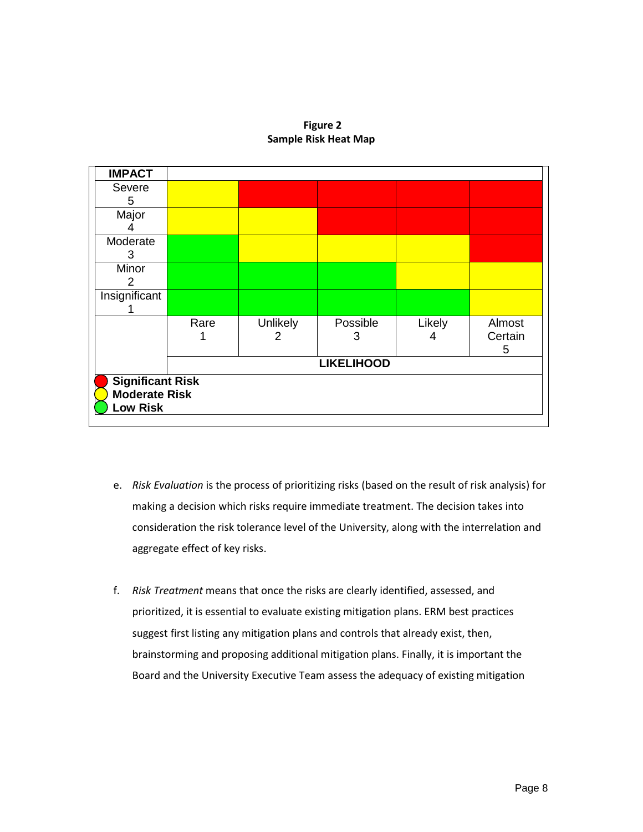## **Figure 2 Sample Risk Heat Map**



- e. *Risk Evaluation* is the process of prioritizing risks (based on the result of risk analysis) for making a decision which risks require immediate treatment. The decision takes into consideration the risk tolerance level of the University, along with the interrelation and aggregate effect of key risks.
- f. *Risk Treatment* means that once the risks are clearly identified, assessed, and prioritized, it is essential to evaluate existing mitigation plans. ERM best practices suggest first listing any mitigation plans and controls that already exist, then, brainstorming and proposing additional mitigation plans. Finally, it is important the Board and the University Executive Team assess the adequacy of existing mitigation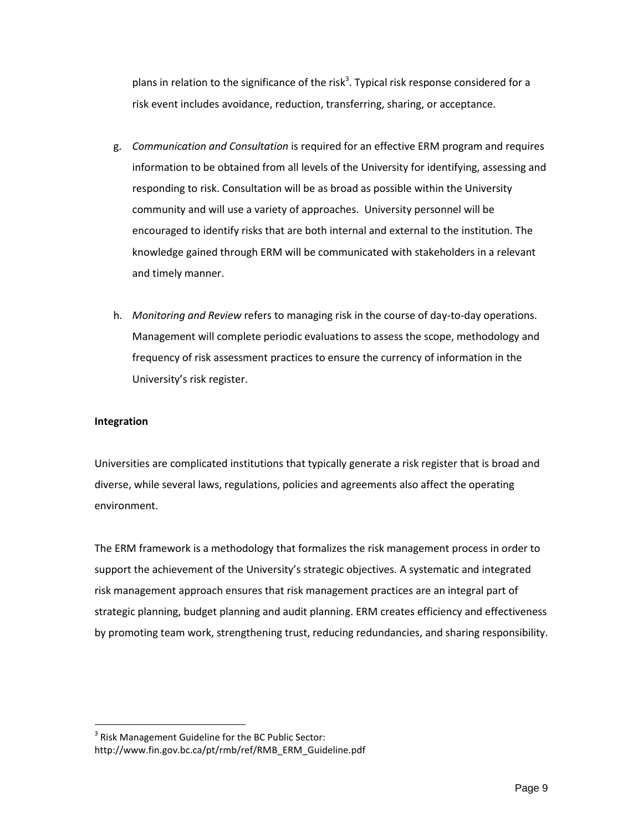plans in relation to the significance of the risk<sup>3</sup>. Typical risk response considered for a risk event includes avoidance, reduction, transferring, sharing, or acceptance.

- g. *Communication and Consultation* is required for an effective ERM program and requires information to be obtained from all levels of the University for identifying, assessing and responding to risk. Consultation will be as broad as possible within the University community and will use a variety of approaches. University personnel will be encouraged to identify risks that are both internal and external to the institution. The knowledge gained through ERM will be communicated with stakeholders in a relevant and timely manner.
- h. *Monitoring and Review* refers to managing risk in the course of day-to-day operations. Management will complete periodic evaluations to assess the scope, methodology and frequency of risk assessment practices to ensure the currency of information in the University's risk register.

## **Integration**

 $\overline{a}$ 

Universities are complicated institutions that typically generate a risk register that is broad and diverse, while several laws, regulations, policies and agreements also affect the operating environment.

The ERM framework is a methodology that formalizes the risk management process in order to support the achievement of the University's strategic objectives. A systematic and integrated risk management approach ensures that risk management practices are an integral part of strategic planning, budget planning and audit planning. ERM creates efficiency and effectiveness by promoting team work, strengthening trust, reducing redundancies, and sharing responsibility.

 $3$  Risk Management Guideline for the BC Public Sector: http://www.fin.gov.bc.ca/pt/rmb/ref/RMB\_ERM\_Guideline.pdf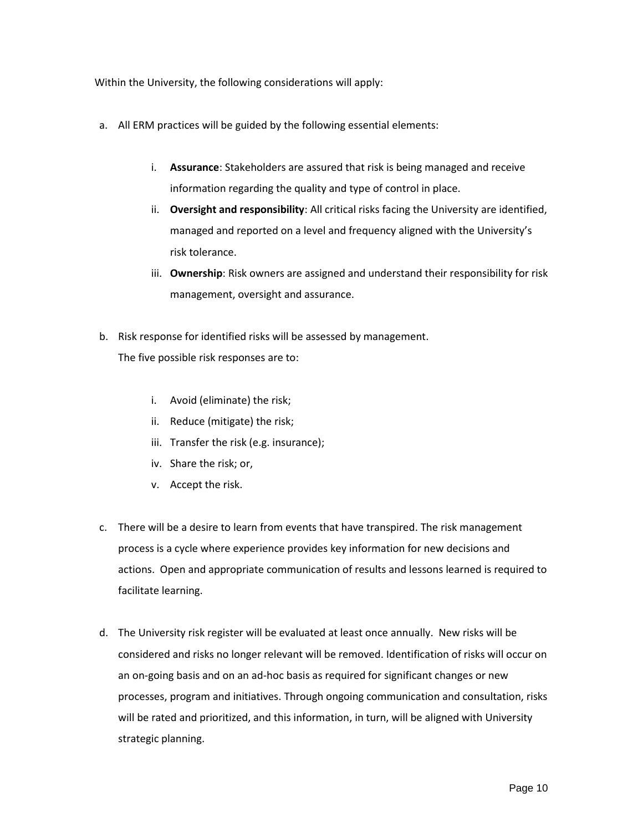Within the University, the following considerations will apply:

- a. All ERM practices will be guided by the following essential elements:
	- i. **Assurance**: Stakeholders are assured that risk is being managed and receive information regarding the quality and type of control in place.
	- ii. **Oversight and responsibility**: All critical risks facing the University are identified, managed and reported on a level and frequency aligned with the University's risk tolerance.
	- iii. **Ownership**: Risk owners are assigned and understand their responsibility for risk management, oversight and assurance.
- b. Risk response for identified risks will be assessed by management. The five possible risk responses are to:
	- i. Avoid (eliminate) the risk;
	- ii. Reduce (mitigate) the risk;
	- iii. Transfer the risk (e.g. insurance);
	- iv. Share the risk; or,
	- v. Accept the risk.
- c. There will be a desire to learn from events that have transpired. The risk management process is a cycle where experience provides key information for new decisions and actions. Open and appropriate communication of results and lessons learned is required to facilitate learning.
- d. The University risk register will be evaluated at least once annually. New risks will be considered and risks no longer relevant will be removed. Identification of risks will occur on an on-going basis and on an ad-hoc basis as required for significant changes or new processes, program and initiatives. Through ongoing communication and consultation, risks will be rated and prioritized, and this information, in turn, will be aligned with University strategic planning.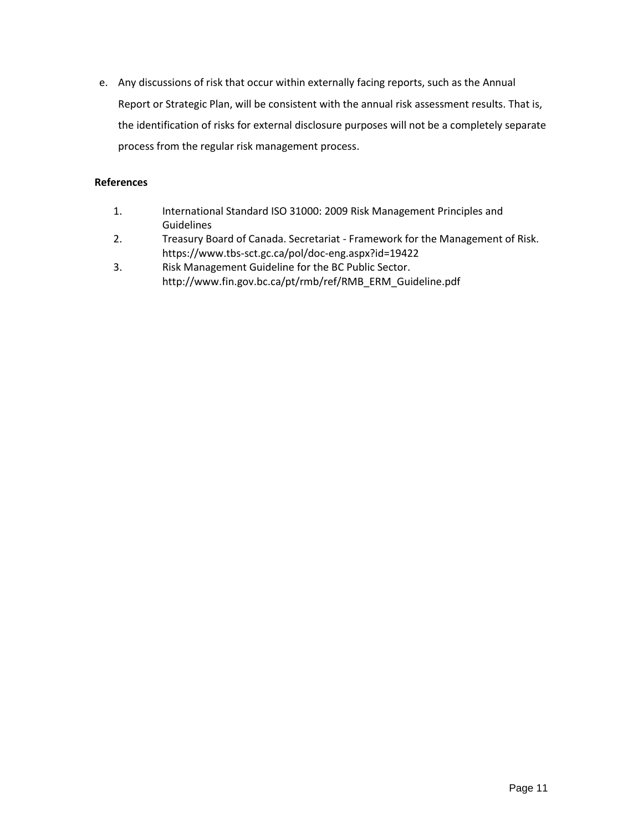e. Any discussions of risk that occur within externally facing reports, such as the Annual Report or Strategic Plan, will be consistent with the annual risk assessment results. That is, the identification of risks for external disclosure purposes will not be a completely separate process from the regular risk management process.

# **References**

- 1. International Standard ISO 31000: 2009 Risk Management Principles and Guidelines
- 2. Treasury Board of Canada. Secretariat Framework for the Management of Risk. https://www.tbs-sct.gc.ca/pol/doc-eng.aspx?id=19422
- 3. Risk Management Guideline for the BC Public Sector. http://www.fin.gov.bc.ca/pt/rmb/ref/RMB\_ERM\_Guideline.pdf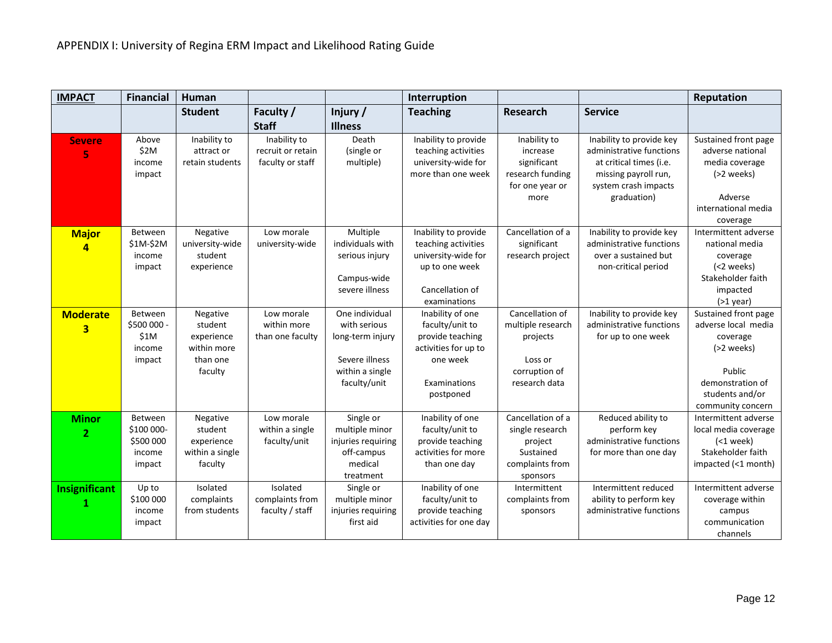| <b>IMPACT</b>                  | <b>Financial</b>                                       | <b>Human</b>                                                            |                                                       |                                                                                                         | Interruption                                                                                                             |                                                                                               |                                                                                                                                                | Reputation                                                                                                                                  |
|--------------------------------|--------------------------------------------------------|-------------------------------------------------------------------------|-------------------------------------------------------|---------------------------------------------------------------------------------------------------------|--------------------------------------------------------------------------------------------------------------------------|-----------------------------------------------------------------------------------------------|------------------------------------------------------------------------------------------------------------------------------------------------|---------------------------------------------------------------------------------------------------------------------------------------------|
|                                |                                                        | <b>Student</b>                                                          | Faculty /<br><b>Staff</b>                             | Injury/<br><b>Illness</b>                                                                               | <b>Teaching</b>                                                                                                          | Research                                                                                      | <b>Service</b>                                                                                                                                 |                                                                                                                                             |
| <b>Severe</b><br>5             | Above<br>\$2M<br>income<br>impact                      | Inability to<br>attract or<br>retain students                           | Inability to<br>recruit or retain<br>faculty or staff | Death<br>(single or<br>multiple)                                                                        | Inability to provide<br>teaching activities<br>university-wide for<br>more than one week                                 | Inability to<br>increase<br>significant<br>research funding<br>for one year or<br>more        | Inability to provide key<br>administrative functions<br>at critical times (i.e.<br>missing payroll run,<br>system crash impacts<br>graduation) | Sustained front page<br>adverse national<br>media coverage<br>$(>2$ weeks)<br>Adverse<br>international media<br>coverage                    |
| <b>Major</b><br>$\overline{a}$ | Between<br>\$1M-\$2M<br>income<br>impact               | Negative<br>university-wide<br>student<br>experience                    | Low morale<br>university-wide                         | Multiple<br>individuals with<br>serious injury<br>Campus-wide<br>severe illness                         | Inability to provide<br>teaching activities<br>university-wide for<br>up to one week<br>Cancellation of<br>examinations  | Cancellation of a<br>significant<br>research project                                          | Inability to provide key<br>administrative functions<br>over a sustained but<br>non-critical period                                            | Intermittent adverse<br>national media<br>coverage<br>(<2 weeks)<br>Stakeholder faith<br>impacted<br>$(>1$ year)                            |
| <b>Moderate</b><br>3           | Between<br>\$500 000 -<br>\$1M<br>income<br>impact     | Negative<br>student<br>experience<br>within more<br>than one<br>faculty | Low morale<br>within more<br>than one faculty         | One individual<br>with serious<br>long-term injury<br>Severe illness<br>within a single<br>faculty/unit | Inability of one<br>faculty/unit to<br>provide teaching<br>activities for up to<br>one week<br>Examinations<br>postponed | Cancellation of<br>multiple research<br>projects<br>Loss or<br>corruption of<br>research data | Inability to provide key<br>administrative functions<br>for up to one week                                                                     | Sustained front page<br>adverse local media<br>coverage<br>(>2 weeks)<br>Public<br>demonstration of<br>students and/or<br>community concern |
| <b>Minor</b><br>$\overline{2}$ | Between<br>\$100 000-<br>\$500 000<br>income<br>impact | Negative<br>student<br>experience<br>within a single<br>faculty         | Low morale<br>within a single<br>faculty/unit         | Single or<br>multiple minor<br>injuries requiring<br>off-campus<br>medical<br>treatment                 | Inability of one<br>faculty/unit to<br>provide teaching<br>activities for more<br>than one day                           | Cancellation of a<br>single research<br>project<br>Sustained<br>complaints from<br>sponsors   | Reduced ability to<br>perform key<br>administrative functions<br>for more than one day                                                         | Intermittent adverse<br>local media coverage<br>$(1 week)$<br>Stakeholder faith<br>impacted (<1 month)                                      |
| Insignificant                  | Up to<br>\$100 000<br>income<br>impact                 | Isolated<br>complaints<br>from students                                 | Isolated<br>complaints from<br>faculty / staff        | Single or<br>multiple minor<br>injuries requiring<br>first aid                                          | Inability of one<br>faculty/unit to<br>provide teaching<br>activities for one day                                        | Intermittent<br>complaints from<br>sponsors                                                   | Intermittent reduced<br>ability to perform key<br>administrative functions                                                                     | Intermittent adverse<br>coverage within<br>campus<br>communication<br>channels                                                              |